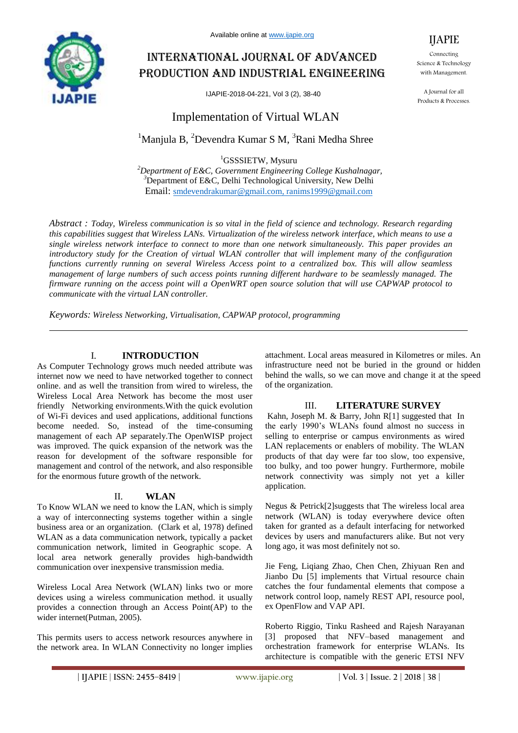

Available online at www.ijapie.org

# International journal of advanced production and industrial engineering

IJAPIE-2018-04-221, Vol 3 (2), 38-40

# Implementation of Virtual WLAN

 $1$ Manjula B,  $2$ Devendra Kumar S M,  $3$ Rani Medha Shree

<sup>1</sup>GSSSIETW, Mysuru

*<sup>2</sup>Department of E&C, Government Engineering College Kushalnagar, <sup>3</sup>*Department of E&C, Delhi Technological University, New Delhi Email: smdevendrakumar@gmail.com, ranims1999@gmail.com

*Abstract : Today, Wireless communication is so vital in the field of science and technology. Research regarding this capabilities suggest that Wireless LANs. Virtualization of the wireless network interface, which means to use a single wireless network interface to connect to more than one network simultaneously. This paper provides an introductory study for the Creation of virtual WLAN controller that will implement many of the configuration functions currently running on several Wireless Access point to a centralized box. This will allow seamless management of large numbers of such access points running different hardware to be seamlessly managed. The firmware running on the access point will a OpenWRT open source solution that will use CAPWAP protocol to communicate with the virtual LAN controller.*

*Keywords: Wireless Networking, Virtualisation, CAPWAP protocol, programming*

### I. **INTRODUCTION**

As Computer Technology grows much needed attribute was internet now we need to have networked together to connect online. and as well the transition from wired to wireless, the Wireless Local Area Network has become the most user friendly Networking environments.With the quick evolution of Wi-Fi devices and used applications, additional functions become needed. So, instead of the time-consuming management of each AP separately.The OpenWISP project was improved. The quick expansion of the network was the reason for development of the software responsible for management and control of the network, and also responsible for the enormous future growth of the network.

#### II. **WLAN**

To Know WLAN we need to know the LAN, which is simply a way of interconnecting systems together within a single business area or an organization. (Clark et al, 1978) defined WLAN as a data communication network, typically a packet communication network, limited in Geographic scope. A local area network generally provides high-bandwidth communication over inexpensive transmission media.

Wireless Local Area Network (WLAN) links two or more devices using a wireless communication method. it usually provides a connection through an Access Point(AP) to the wider internet(Putman, 2005).

This permits users to access network resources anywhere in the network area. In WLAN Connectivity no longer implies attachment. Local areas measured in Kilometres or miles. An infrastructure need not be buried in the ground or hidden behind the walls, so we can move and change it at the speed of the organization.

# III. **LITERATURE SURVEY**

Kahn, Joseph M. & Barry, John R[1] suggested that In the early 1990's WLANs found almost no success in selling to enterprise or campus environments as wired LAN replacements or enablers of mobility. The WLAN products of that day were far too slow, too expensive, too bulky, and too power hungry. Furthermore, mobile network connectivity was simply not yet a killer application.

Negus & Petrick[2]suggests that The wireless local area network (WLAN) is today everywhere device often taken for granted as a default interfacing for networked devices by users and manufacturers alike. But not very long ago, it was most definitely not so.

Jie Feng, Liqiang Zhao, Chen Chen, Zhiyuan Ren and Jianbo Du [5] implements that Virtual resource chain catches the four fundamental elements that compose a network control loop, namely REST API, resource pool, ex OpenFlow and VAP API.

Roberto Riggio, Tinku Rasheed and Rajesh Narayanan [3] proposed that NFV–based management and orchestration framework for enterprise WLANs. Its architecture is compatible with the generic ETSI NFV



Connecting Science & Technology with Management.

A Journal for all Products & Processes.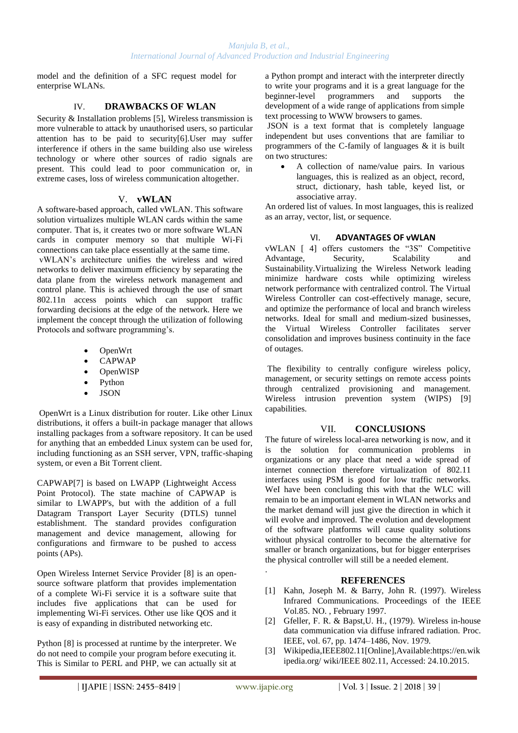model and the definition of a SFC request model for enterprise WLANs.

# IV. **DRAWBACKS OF WLAN**

Security & Installation problems [5], Wireless transmission is more vulnerable to attack by unauthorised users, so particular attention has to be paid to security[6].User may suffer interference if others in the same building also use wireless technology or where other sources of radio signals are present. This could lead to poor communication or, in extreme cases, loss of wireless communication altogether.

# V. **vWLAN**

A software-based approach, called vWLAN. This software solution virtualizes multiple WLAN cards within the same computer. That is, it creates two or more software WLAN cards in computer memory so that multiple Wi-Fi connections can take place essentially at the same time.

vWLAN's architecture unifies the wireless and wired networks to deliver maximum efficiency by separating the data plane from the wireless network management and control plane. This is achieved through the use of smart 802.11n access points which can support traffic forwarding decisions at the edge of the network. Here we implement the concept through the utilization of following Protocols and software programming's.

- OpenWrt
- CAPWAP
- OpenWISP
- Python
- **JSON**

OpenWrt is a Linux distribution for router. Like other Linux distributions, it offers a built-in package manager that allows installing packages from a software repository. It can be used for anything that an embedded Linux system can be used for, including functioning as an SSH server, VPN, traffic-shaping system, or even a Bit Torrent client.

CAPWAP[7] is based on LWAPP (Lightweight Access Point Protocol). The state machine of CAPWAP is similar to LWAPP's, but with the addition of a full Datagram Transport Layer Security (DTLS) tunnel establishment. The standard provides configuration management and device management, allowing for configurations and firmware to be pushed to access points (APs).

Open Wireless Internet Service Provider [8] is an opensource software platform that provides implementation of a complete Wi-Fi service it is a software suite that includes five applications that can be used for implementing Wi-Fi services. Other use like QOS and it is easy of expanding in distributed networking etc.

Python [8] is processed at runtime by the interpreter. We do not need to compile your program before executing it. This is Similar to PERL and PHP, we can actually sit at a Python prompt and interact with the interpreter directly to write your programs and it is a great language for the beginner-level programmers and supports the development of a wide range of applications from simple text processing to WWW browsers to games.

JSON is a text format that is completely language independent but uses conventions that are familiar to programmers of the C-family of languages & it is built on two structures:

 A collection of name/value pairs. In various languages, this is realized as an object, record, struct, dictionary, hash table, keyed list, or associative array.

An ordered list of values. In most languages, this is realized as an array, vector, list, or sequence.

### VI. **ADVANTAGES OF vWLAN**

vWLAN [ 4] offers customers the "3S" Competitive Advantage, Security, Scalability and Sustainability.Virtualizing the Wireless Network leading minimize hardware costs while optimizing wireless network performance with centralized control. The Virtual Wireless Controller can cost-effectively manage, secure, and optimize the performance of local and branch wireless networks. Ideal for small and medium-sized businesses, the Virtual Wireless Controller facilitates server consolidation and improves business continuity in the face of outages.

The flexibility to centrally configure wireless policy, management, or security settings on remote access points through centralized provisioning and management. Wireless intrusion prevention system (WIPS) [9] capabilities.

#### VII. **CONCLUSIONS**

The future of wireless local-area networking is now, and it is the solution for communication problems in organizations or any place that need a wide spread of internet connection therefore virtualization of 802.11 interfaces using PSM is good for low traffic networks. WeI have been concluding this with that the WLC will remain to be an important element in WLAN networks and the market demand will just give the direction in which it will evolve and improved. The evolution and development of the software platforms will cause quality solutions without physical controller to become the alternative for smaller or branch organizations, but for bigger enterprises the physical controller will still be a needed element.

# **REFERENCES**

- [1] Kahn, Joseph M. & Barry, John R. (1997). Wireless Infrared Communications. Proceedings of the IEEE Vol.85. NO. , February 1997*.*
- [2] Gfeller, F. R. & Bapst,U. H., (1979). Wireless in-house data communication via diffuse infrared radiation. Proc. IEEE, vol. 67, pp. 1474–1486, Nov. 1979*.*
- [3] Wikipedia,IEEE802.11[Online],Available:https://en.wik ipedia.org/ wiki/IEEE 802.11, Accessed: 24.10.2015.

.